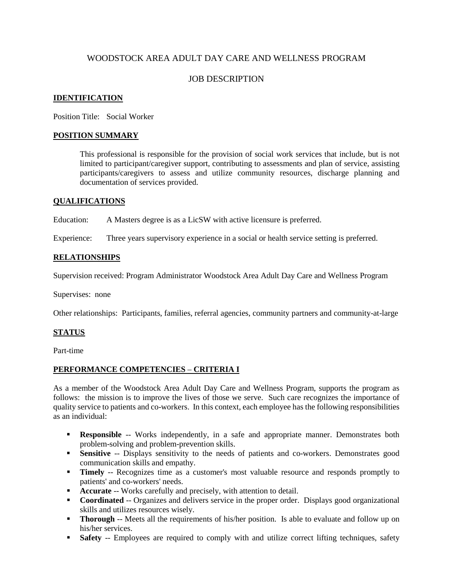# WOODSTOCK AREA ADULT DAY CARE AND WELLNESS PROGRAM

## JOB DESCRIPTION

#### **IDENTIFICATION**

Position Title: Social Worker

#### **POSITION SUMMARY**

This professional is responsible for the provision of social work services that include, but is not limited to participant/caregiver support, contributing to assessments and plan of service, assisting participants/caregivers to assess and utilize community resources, discharge planning and documentation of services provided.

#### **QUALIFICATIONS**

Education: A Masters degree is as a LicSW with active licensure is preferred.

Experience: Three years supervisory experience in a social or health service setting is preferred.

### **RELATIONSHIPS**

Supervision received: Program Administrator Woodstock Area Adult Day Care and Wellness Program

Supervises: none

Other relationships: Participants, families, referral agencies, community partners and community-at-large

### **STATUS**

Part-time

### **PERFORMANCE COMPETENCIES** – **CRITERIA I**

As a member of the Woodstock Area Adult Day Care and Wellness Program, supports the program as follows: the mission is to improve the lives of those we serve. Such care recognizes the importance of quality service to patients and co-workers. In this context, each employee has the following responsibilities as an individual:

- **Responsible** -- Works independently, in a safe and appropriate manner. Demonstrates both problem-solving and problem-prevention skills.
- **Sensitive** -- Displays sensitivity to the needs of patients and co-workers. Demonstrates good communication skills and empathy.
- **Timely** -- Recognizes time as a customer's most valuable resource and responds promptly to patients' and co-workers' needs.
- **Accurate** -- Works carefully and precisely, with attention to detail.
- **Coordinated** -- Organizes and delivers service in the proper order. Displays good organizational skills and utilizes resources wisely.
- **Thorough** -- Meets all the requirements of his/her position. Is able to evaluate and follow up on his/her services.
- **Safety** -- Employees are required to comply with and utilize correct lifting techniques, safety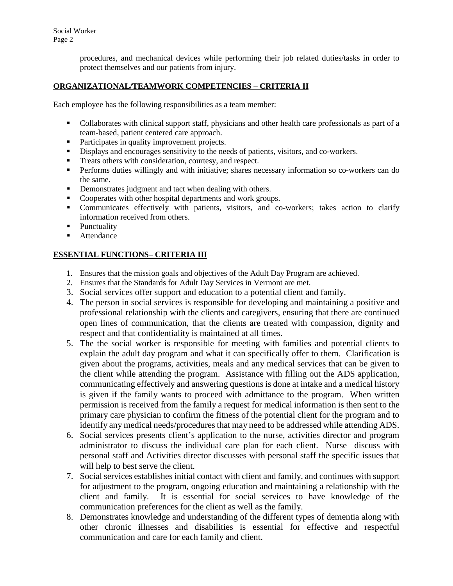procedures, and mechanical devices while performing their job related duties/tasks in order to protect themselves and our patients from injury.

## **ORGANIZATIONAL/TEAMWORK COMPETENCIES** – **CRITERIA II**

Each employee has the following responsibilities as a team member:

- Collaborates with clinical support staff, physicians and other health care professionals as part of a team-based, patient centered care approach.
- Participates in quality improvement projects.
- Displays and encourages sensitivity to the needs of patients, visitors, and co-workers.
- Treats others with consideration, courtesy, and respect.
- **Performs duties willingly and with initiative; shares necessary information so co-workers can do** the same.
- Demonstrates judgment and tact when dealing with others.
- Cooperates with other hospital departments and work groups.
- Communicates effectively with patients, visitors, and co-workers; takes action to clarify information received from others.
- Punctuality
- **Attendance**

## **ESSENTIAL FUNCTIONS**– **CRITERIA III**

- 1. Ensures that the mission goals and objectives of the Adult Day Program are achieved.
- 2. Ensures that the Standards for Adult Day Services in Vermont are met.
- 3. Social services offer support and education to a potential client and family.
- 4. The person in social services is responsible for developing and maintaining a positive and professional relationship with the clients and caregivers, ensuring that there are continued open lines of communication, that the clients are treated with compassion, dignity and respect and that confidentiality is maintained at all times.
- 5. The the social worker is responsible for meeting with families and potential clients to explain the adult day program and what it can specifically offer to them. Clarification is given about the programs, activities, meals and any medical services that can be given to the client while attending the program. Assistance with filling out the ADS application, communicating effectively and answering questions is done at intake and a medical history is given if the family wants to proceed with admittance to the program. When written permission is received from the family a request for medical information is then sent to the primary care physician to confirm the fitness of the potential client for the program and to identify any medical needs/procedures that may need to be addressed while attending ADS.
- 6. Social services presents client's application to the nurse, activities director and program administrator to discuss the individual care plan for each client. Nurse discuss with personal staff and Activities director discusses with personal staff the specific issues that will help to best serve the client.
- 7. Social services establishes initial contact with client and family, and continues with support for adjustment to the program, ongoing education and maintaining a relationship with the client and family. It is essential for social services to have knowledge of the communication preferences for the client as well as the family.
- 8. Demonstrates knowledge and understanding of the different types of dementia along with other chronic illnesses and disabilities is essential for effective and respectful communication and care for each family and client.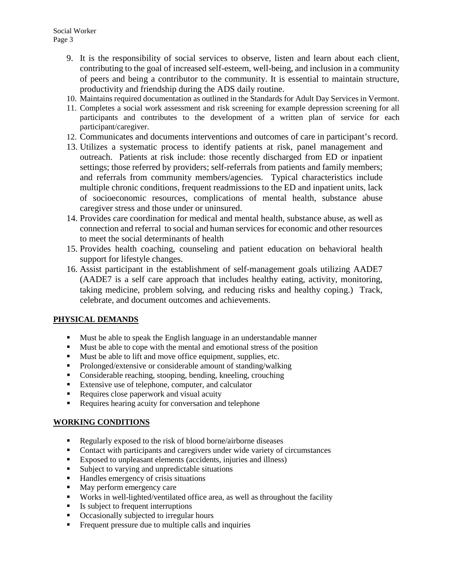- 9. It is the responsibility of social services to observe, listen and learn about each client, contributing to the goal of increased self-esteem, well-being, and inclusion in a community of peers and being a contributor to the community. It is essential to maintain structure, productivity and friendship during the ADS daily routine.
- 10. Maintains required documentation as outlined in the Standards for Adult Day Services in Vermont.
- 11. Completes a social work assessment and risk screening for example depression screening for all participants and contributes to the development of a written plan of service for each participant/caregiver.
- 12. Communicates and documents interventions and outcomes of care in participant's record.
- 13. Utilizes a systematic process to identify patients at risk, panel management and outreach. Patients at risk include: those recently discharged from ED or inpatient settings; those referred by providers; self-referrals from patients and family members; and referrals from community members/agencies. Typical characteristics include multiple chronic conditions, frequent readmissions to the ED and inpatient units, lack of socioeconomic resources, complications of mental health, substance abuse caregiver stress and those under or uninsured.
- 14. Provides care coordination for medical and mental health, substance abuse, as well as connection and referral to social and human services for economic and other resources to meet the social determinants of health
- 15. Provides health coaching, counseling and patient education on behavioral health support for lifestyle changes.
- 16. Assist participant in the establishment of self-management goals utilizing AADE7 (AADE7 is a self care approach that includes healthy eating, activity, monitoring, taking medicine, problem solving, and reducing risks and healthy coping.) Track, celebrate, and document outcomes and achievements.

# **PHYSICAL DEMANDS**

- Must be able to speak the English language in an understandable manner
- Must be able to cope with the mental and emotional stress of the position
- Must be able to lift and move office equipment, supplies, etc.
- Prolonged/extensive or considerable amount of standing/walking
- Considerable reaching, stooping, bending, kneeling, crouching
- Extensive use of telephone, computer, and calculator
- Requires close paperwork and visual acuity
- Requires hearing acuity for conversation and telephone

## **WORKING CONDITIONS**

- Regularly exposed to the risk of blood borne/airborne diseases
- Contact with participants and caregivers under wide variety of circumstances
- Exposed to unpleasant elements (accidents, injuries and illness)
- Subject to varying and unpredictable situations
- Handles emergency of crisis situations
- May perform emergency care
- Works in well-lighted/ventilated office area, as well as throughout the facility
- Is subject to frequent interruptions
- Occasionally subjected to irregular hours
- Frequent pressure due to multiple calls and inquiries